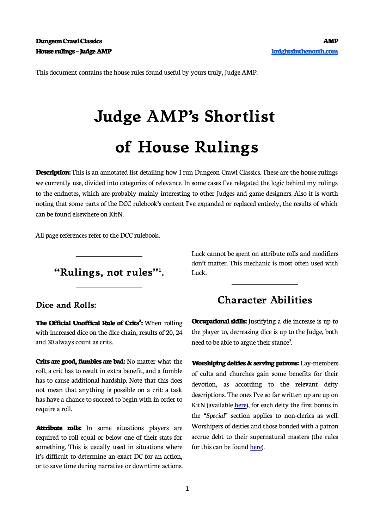This document contains the house rules found useful by yours truly, Judge AMP.

# **Judge AMP's Shortlist of House Rulings**

**Description:** This is an annotated list detailing how I run Dungeon Crawl Classics. These are the house rulings we currently use, divided into categories of relevance. In some cases I've relegated the logic behind my rulings to the endnotes, which are probably mainly interesting to other Judges and game designers. Also it is worth noting that some parts of the DCC rulebook's content I've expanded or replaced entirely, the results of which can be found elsewhere on KitN.

All page references refer to the DCC rulebook.

**"Rulings, not rules"<sup>1</sup> .**

#### **Dice and Rolls:**

**The Official Unoffical Rule of Crits<sup>2</sup> :** When rolling with increased dice on the dice chain, results of 20, 24 and 30 always count as crits.

**Crits are good, fumbles are bad:** No matter what the roll, a crit has to result in extra benefit, and a fumble has to cause additional hardship. Note that this does not mean that anything is possible on a crit: a task has have a chance to succeed to begin with in order to require a roll.

**Attribute rolls:** In some situations players are required to roll equal or below one of their stats for something. This is usually used in situations where it's difficult to determine an exact DC for an action, or to save time during narrative or downtime actions. Luck cannot be spent on attribute rolls and modifiers don't matter. This mechanic is most often used with Luck.

# **Character Abilities**

**Occupational skills:** Justifying a die increase is up to the player to, decreasing dice is up to the Judge, both need to be able to argue their stance<sup>3</sup>. .

**Worshiping deities & serving patrons:** Lay-members of cults and churches gain some benefits for their devotion, as according to the relevant deity descriptions. The ones I've so far written up are up on KitN (available [here](https://knightsinthenorth.blog/2017/09/17/the-stars-they-tell-of-gods/)), for each deity the first bonus in the *"Special"* section applies to non-clerics as well. Worshipers of deities and those bonded with a patron accrue debt to their supernatural masters (the rules for this can be found [here\)](https://knightsinthenorth.blog/2018/06/14/patron-and-deity-demands/).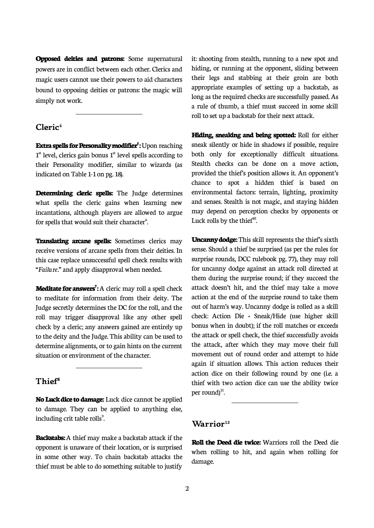**Opposed deities and patrons:** Some supernatural powers are in conflict between each other. Clerics and magic users cannot use their powers to aid characters bound to opposing deities or patrons: the magic will simply not work.

#### **Cleric<sup>4</sup>**

 $\overline{\phantom{a}}$ 

**Extra spells for Personality modifier<sup>5</sup> :** Upon reaching 1<sup>st</sup> level, clerics gain bonus 1<sup>st</sup> level spells according to their Personality modifier, similar to wizards (as indicated on Table 1-1 on pg. 18).

**Determining cleric spells:** The Judge determines what spells the cleric gains when learning new incantations, although players are allowed to argue for spells that would suit their character<sup>6</sup>. .

**Translating arcane spells:** Sometimes clerics may receive versions of arcane spells from their deities. In this case replace unsuccessful spell check results with *"Failure."* and apply disapproval when needed.

**Meditate for answers<sup>7</sup> :** A cleric may roll a spell check to meditate for information from their deity. The Judge secretly determines the DC for the roll, and the roll may trigger disapproval like any other spell check by a cleric; any answers gained are entirely up to the deity and the Judge. This ability can be used to determine alignments, or to gain hints on the current situation or environment of the character.

## **Thief<sup>8</sup>**

 $\overline{\phantom{a}}$ 

**No Luck dice to damage:** Luck dice cannot be applied to damage. They can be applied to anything else, including crit table rolls<sup>9</sup>.

**Backstabs:** A thief may make a backstab attack if the opponent is unaware of their location, or is surprised in some other way. To chain backstab attacks the thief must be able to do something suitable to justify

it: shooting from stealth, running to a new spot and hiding, or running at the opponent, sliding between their legs and stabbing at their groin are both appropriate examples of setting up a backstab, as long as the required checks are successfully passed. As a rule of thumb, a thief must succeed in some skill roll to set up a backstab for their next attack.

**Hiding, sneaking and being spotted:** Roll for either sneak silently or hide in shadows if possible, require both only for exceptionally difficult situations. Stealth checks can be done on a move action, provided the thief's position allows it. An opponent's chance to spot a hidden thief is based on environmental factors: terrain, lighting, proximity and senses. Stealth is not magic, and staying hidden may depend on perception checks by opponents or Luck rolls by the thief $10$ . .

**Uncanny dodge:** This skill represents the thief's sixth sense. Should a thief be surprised (as per the rules for surprise rounds, DCC rulebook pg. 77), they may roll for uncanny dodge against an attack roll directed at them during the surprise round; if they succeed the attack doesn't hit, and the thief may take a move action at the end of the surprise round to take them out of harm's way. Uncanny dodge is rolled as a skill check: Action Die + Sneak/Hide (use higher skill bonus when in doubt); if the roll matches or exceeds the attack or spell check, the thief successfully avoids the attack, after which they may move their full movement out of round order and attempt to hide again if situation allows. This action reduces their action dice on their following round by one (i.e. a thief with two action dice can use the ability twice per round) $^{\text{11}}$ . .<br>.  $\overline{a}$ 

## **Warrior<sup>12</sup>**

**Roll the Deed die twice:** Warriors roll the Deed die when rolling to hit, and again when rolling for damage.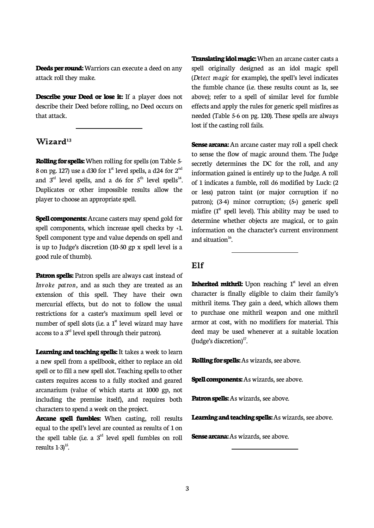**Deeds per round:** Warriors can execute a deed on any attack roll they make.

**Describe your Deed or lose it:** If a player does not describe their Deed before rolling, no Deed occurs on that attack.

**Wizard<sup>13</sup>**

 $\overline{\phantom{a}}$ 

**Rolling for spells:** When rolling for spells (on Table 5- 8 on pg. 127) use a d30 for  $1<sup>st</sup>$  level spells, a d24 for  $2<sup>nd</sup>$ and  $3<sup>rd</sup>$  level spells, and a d6 for  $5<sup>th</sup>$  level spells<sup>14</sup>. . Duplicates or other impossible results allow the player to choose an appropriate spell.

**Spell components:** Arcane casters may spend gold for spell components, which increase spell checks by +1. Spell component type and value depends on spell and is up to Judge's discretion (10-50 gp x spell level is a good rule of thumb).

Patron spells: Patron spells are always cast instead of *Invoke patron,* and as such they are treated as an extension of this spell. They have their own mercurial effects, but do not to follow the usual restrictions for a caster's maximum spell level or number of spell slots (i.e. a  $1<sup>st</sup>$  level wizard may have access to a  $3<sup>rd</sup>$  level spell through their patron).

**Learning and teaching spells:** It takes a week to learn a new spell from a spellbook, either to replace an old spell or to fill a new spell slot. Teaching spells to other casters requires access to a fully stocked and geared arcanarium (value of which starts at 1000 gp, not including the premise itself), and requires both characters to spend a week on the project.

**Arcane spell fumbles:** When casting, roll results equal to the spell's level are counted as results of 1 on the spell table (i.e. a  $3<sup>rd</sup>$  level spell fumbles on roll results  $1-3$ <sup>15</sup>. .

**Translating idol magic:** When an arcane caster casts a spell originally designed as an idol magic spell (*Detect magic* for example), the spell's level indicates the fumble chance (i.e. these results count as 1s, see above); refer to a spell of similar level for fumble effects and apply the rules for generic spell misfires as needed (Table 5-6 on pg. 120). These spells are always lost if the casting roll fails.

**Sense arcana:** An arcane caster may roll a spell check to sense the flow of magic around them. The Judge secretly determines the DC for the roll, and any information gained is entirely up to the Judge. A roll of 1 indicates a fumble, roll d6 modified by Luck: (2 or less) patron taint (or major corruption if no patron); (3-4) minor corruption; (5+) generic spell misfire  $(1<sup>st</sup>$  spell level). This ability may be used to determine whether objects are magical, or to gain information on the character's current environment and situation $^{16}$ .

## **Elf**

**Inherited mithril:** Upon reaching 1<sup>st</sup> level an elven character is finally eligible to claim their family's mithril items. They gain a deed, which allows them to purchase one mithril weapon and one mithril armor at cost, with no modifiers for material. This deed may be used whenever at a suitable location (Judge's discretion) $^{17}$ . .

**Rolling for spells:** As wizards, see above.

 $\overline{a}$ 

**Spell components:** As wizards, see above.

**Patron spells:** As wizards, see above.

**Learning and teaching spells:** As wizards, see above.

**Sense arcana:** As wizards, see above.

֦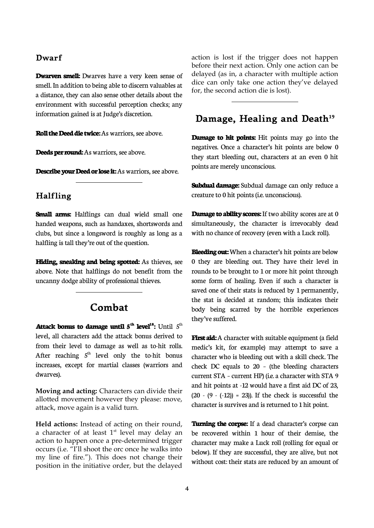#### **Dwarf**

**Dwarven smell:** Dwarves have a very keen sense of smell. In addition to being able to discern valuables at a distance, they can also sense other details about the environment with successful perception checks; any information gained is at Judge's discretion.

**Roll the Deed die twice:** As warriors, see above.

**Deeds per round:** As warriors, see above.

 $\overline{a}$ 

 $\overline{a}$ 

**Describe your Deed or lose it:** As warriors, see above.

#### **Halfling**

**Small arms:** Halflings can dual wield small one handed weapons, such as handaxes, shortswords and clubs, but since a longsword is roughly as long as a halfling is tall they're out of the question.

**Hiding, sneaking and being spotted:** As thieves, see above. Note that halflings do not benefit from the uncanny dodge ability of professional thieves.

# **Combat**

**Attack bonus to damage until**  $5<sup>th</sup>$  **level<sup>18</sup>; Until**  $5<sup>th</sup>$ level, all characters add the attack bonus derived to from their level to damage as well as to-hit rolls. After reaching  $5<sup>th</sup>$  level only the to-hit bonus increases, except for martial classes (warriors and dwarves).

**Moving and acting:** Characters can divide their allotted movement however they please: move, attack, move again is a valid turn.

**Held actions:** Instead of acting on their round, a character of at least 1<sup>st</sup> level may delay an action to happen once a pre-determined trigger occurs (i.e. "I'll shoot the orc once he walks into my line of fire."). This does not change their position in the initiative order, but the delayed

action is lost if the trigger does not happen before their next action. Only one action can be delayed (as in, a character with multiple action dice can only take one action they've delayed for, the second action die is lost).

## **Damage, Healing and Death<sup>19</sup>**

 $\overline{a}$ 

**Damage to hit points:** Hit points may go into the negatives. Once a character's hit points are below 0 they start bleeding out, characters at an even 0 hit points are merely unconscious.

**Subdual damage:** Subdual damage can only reduce a creature to 0 hit points (i.e. unconscious).

**Damage to ability scores:** If two ability scores are at 0 simultaneously, the character is irrevocably dead with no chance of recovery (even with a Luck roll).

**Bleeding out:** When a character's hit points are below 0 they are bleeding out. They have their level in rounds to be brought to 1 or more hit point through some form of healing. Even if such a character is saved one of their stats is reduced by 1 permanently, the stat is decided at random; this indicates their body being scarred by the horrible experiences they've suffered.

**First aid:** A character with suitable equipment (a field medic's kit, for example) may attempt to save a character who is bleeding out with a skill check. The check DC equals to 20 – (the bleeding characters current STA - current HP) (i.e. a character with STA 9 and hit points at -12 would have a first aid DC of 23,  $(20 - (9 - (-12))) = 23$ ). If the check is successful the character is survives and is returned to 1 hit point.

**Turning the corpse:** If a dead character's corpse can be recovered within 1 hour of their demise, the character may make a Luck roll (rolling for equal or below). If they are successful, they are alive, but not without cost: their stats are reduced by an amount of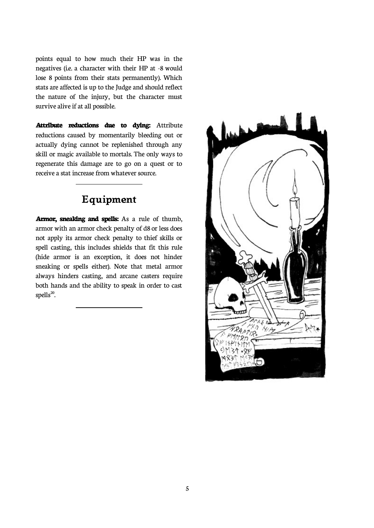points equal to how much their HP was in the negatives (i.e. a character with their HP at -8 would lose 8 points from their stats permanently). Which stats are affected is up to the Judge and should reflect the nature of the injury, but the character must survive alive if at all possible.

**Attribute reductions due to dying:** Attribute reductions caused by momentarily bleeding out or actually dying cannot be replenished through any skill or magic available to mortals. The only ways to regenerate this damage are to go on a quest or to receive a stat increase from whatever source.

# **Equipment**

 $\overline{\phantom{a}}$ 

 $\overline{a}$ 

**Armor, sneaking and spells:** As a rule of thumb, armor with an armor check penalty of d8 or less does not apply its armor check penalty to thief skills or spell casting, this includes shields that fit this rule (hide armor is an exception, it does not hinder sneaking or spells either). Note that metal armor always hinders casting, and arcane casters require both hands and the ability to speak in order to cast  $spells^{20}$ .

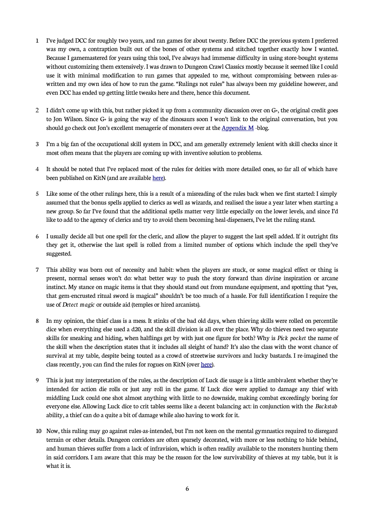- 1 I've judged DCC for roughly two years, and ran games for about twenty. Before DCC the previous system I preferred was my own, a contraption built out of the bones of other systems and stitched together exactly how I wanted. Because I gamemastered for years using this tool, I've always had immense difficulty in using store-bought systems without customizing them extensively. I was drawn to Dungeon Crawl Classics mostly because it seemed like I could use it with minimal modification to run games that appealed to me, without compromising between rules-aswritten and my own idea of how to run the game. "Rulings not rules" has always been my guideline however, and even DCC has ended up getting little tweaks here and there, hence this document.
- 2 I didn't come up with this, but rather picked it up from a community discussion over on G+, the original credit goes to Jon Wilson. Since G+ is going the way of the dinosaurs soon I won't link to the original conversation, but you should go check out Jon's excellent menagerie of monsters over at the [Appendix M](https://appendixm.blogspot.com/) -blog.
- 3 I'm a big fan of the occupational skill system in DCC, and am generally extremely lenient with skill checks since it most often means that the players are coming up with inventive solution to problems.
- 4 It should be noted that I've replaced most of the rules for deities with more detailed ones, so far all of which have been published on KitN (and are available [here](https://knightsinthenorth.blog/category/gods/)).
- 5 Like some of the other rulings here, this is a result of a misreading of the rules back when we first started: I simply assumed that the bonus spells applied to clerics as well as wizards, and realised the issue a year later when starting a new group. So far I've found that the additional spells matter very little especially on the lower levels, and since I'd like to add to the agency of clerics and try to avoid them becoming heal-dispensers, I've let the ruling stand.
- 6 I usually decide all but one spell for the cleric, and allow the player to suggest the last spell added. If it outright fits they get it, otherwise the last spell is rolled from a limited number of options which include the spell they've suggested.
- 7 This ability was born out of necessity and habit: when the players are stuck, or some magical effect or thing is present, normal senses won't do: what better way to push the story forward than divine inspiration or arcane instinct. My stance on magic items is that they should stand out from mundane equipment, and spotting that "yes, that gem-encrusted ritual sword is magical" shouldn't be too much of a hassle. For full identification I require the use of *Detect magic* or outside aid (temples or hired arcanists).
- 8 In my opinion, the thief class is a mess. It stinks of the bad old days, when thieving skills were rolled on percentile dice when everything else used a d20, and the skill division is all over the place. Why do thieves need two separate skills for sneaking and hiding, when halflings get by with just one figure for both? Why is *Pick pocket* the name of the skill when the description states that it includes all sleight of hand? It's also the class with the worst chance of survival at my table, despite being touted as a crowd of streetwise survivors and lucky bastards. I re-imagined the class recently, you can find the rules for rogues on KitN (over [here](https://knightsinthenorth.blog/2019/02/24/the-rogue/)).
- 9 This is just my interpretation of the rules, as the description of Luck die usage is a little ambivalent whether they're intended for action die rolls or just any roll in the game. If Luck dice were applied to damage any thief with middling Luck could one shot almost anything with little to no downside, making combat exceedingly boring for everyone else. Allowing Luck dice to crit tables seems like a decent balancing act: in conjunction with the *Backstab* ability, a thief can do a quite a bit of damage while also having to work for it.
- 10 Now, this ruling may go against rules-as-intended, but I'm not keen on the mental gymnastics required to disregard terrain or other details. Dungeon corridors are often sparsely decorated, with more or less nothing to hide behind, and human thieves suffer from a lack of infravision, which is often readily available to the monsters hunting them in said corridors. I am aware that this may be the reason for the low survivability of thieves at my table, but it is what it is.